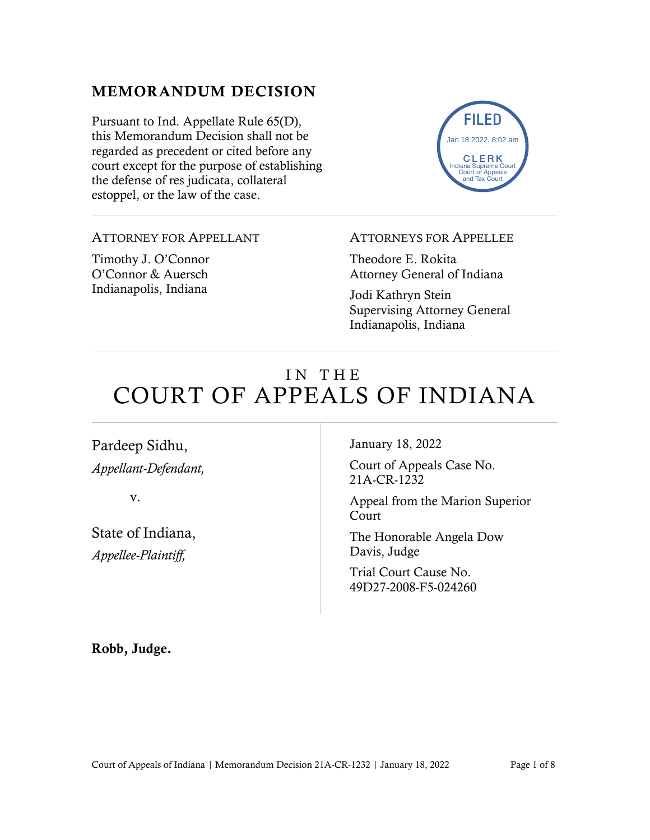#### MEMORANDUM DECISION

Pursuant to Ind. Appellate Rule 65(D), this Memorandum Decision shall not be regarded as precedent or cited before any court except for the purpose of establishing the defense of res judicata, collateral estoppel, or the law of the case.



#### ATTORNEY FOR APPELLANT

Timothy J. O'Connor O'Connor & Auersch Indianapolis, Indiana

#### ATTORNEYS FOR APPELLEE

Theodore E. Rokita Attorney General of Indiana

Jodi Kathryn Stein Supervising Attorney General Indianapolis, Indiana

# IN THE COURT OF APPEALS OF INDIANA

Pardeep Sidhu, *Appellant-Defendant,*

v.

State of Indiana, *Appellee-Plaintiff,*

January 18, 2022

Court of Appeals Case No. 21A-CR-1232

Appeal from the Marion Superior Court

The Honorable Angela Dow Davis, Judge

Trial Court Cause No. 49D27-2008-F5-024260

Robb, Judge.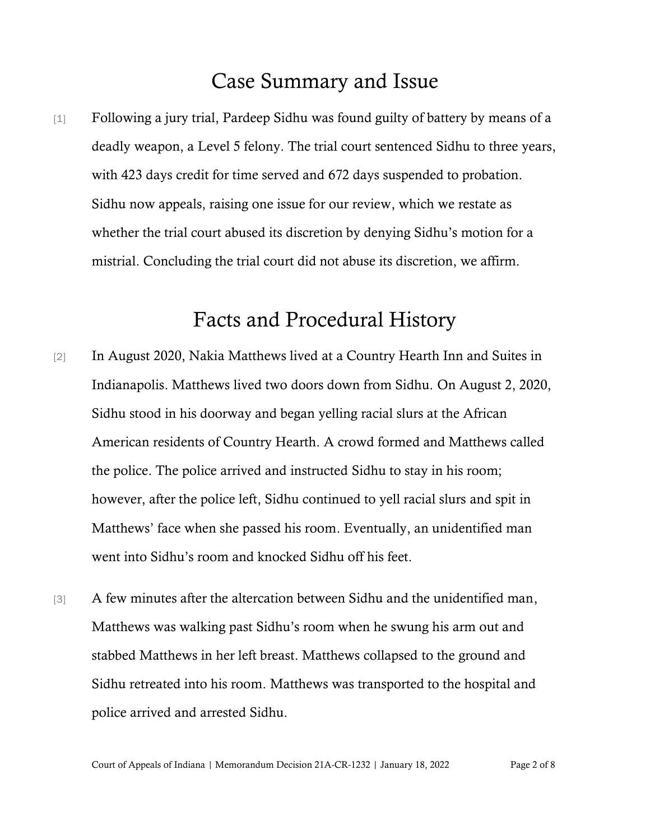## Case Summary and Issue

[1] Following a jury trial, Pardeep Sidhu was found guilty of battery by means of a deadly weapon, a Level 5 felony. The trial court sentenced Sidhu to three years, with 423 days credit for time served and 672 days suspended to probation. Sidhu now appeals, raising one issue for our review, which we restate as whether the trial court abused its discretion by denying Sidhu's motion for a mistrial. Concluding the trial court did not abuse its discretion, we affirm.

### Facts and Procedural History

- [2] In August 2020, Nakia Matthews lived at a Country Hearth Inn and Suites in Indianapolis. Matthews lived two doors down from Sidhu. On August 2, 2020, Sidhu stood in his doorway and began yelling racial slurs at the African American residents of Country Hearth. A crowd formed and Matthews called the police. The police arrived and instructed Sidhu to stay in his room; however, after the police left, Sidhu continued to yell racial slurs and spit in Matthews' face when she passed his room. Eventually, an unidentified man went into Sidhu's room and knocked Sidhu off his feet.
- [3] A few minutes after the altercation between Sidhu and the unidentified man, Matthews was walking past Sidhu's room when he swung his arm out and stabbed Matthews in her left breast. Matthews collapsed to the ground and Sidhu retreated into his room. Matthews was transported to the hospital and police arrived and arrested Sidhu.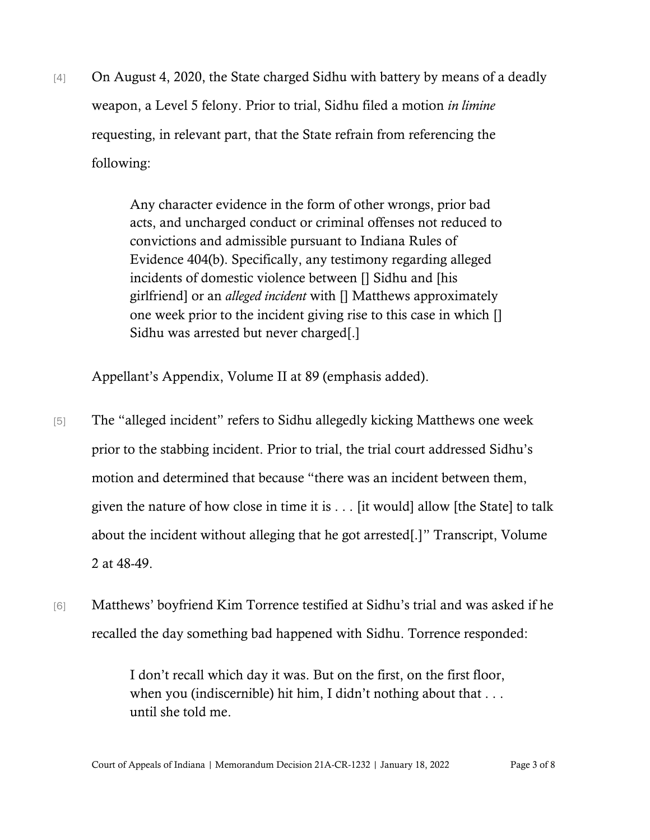[4] On August 4, 2020, the State charged Sidhu with battery by means of a deadly weapon, a Level 5 felony. Prior to trial, Sidhu filed a motion *in limine* requesting, in relevant part, that the State refrain from referencing the following:

> Any character evidence in the form of other wrongs, prior bad acts, and uncharged conduct or criminal offenses not reduced to convictions and admissible pursuant to Indiana Rules of Evidence 404(b). Specifically, any testimony regarding alleged incidents of domestic violence between [] Sidhu and [his girlfriend] or an *alleged incident* with [] Matthews approximately one week prior to the incident giving rise to this case in which [] Sidhu was arrested but never charged[.]

Appellant's Appendix, Volume II at 89 (emphasis added).

- [5] The "alleged incident" refers to Sidhu allegedly kicking Matthews one week prior to the stabbing incident. Prior to trial, the trial court addressed Sidhu's motion and determined that because "there was an incident between them, given the nature of how close in time it is . . . [it would] allow [the State] to talk about the incident without alleging that he got arrested[.]" Transcript, Volume 2 at 48-49.
- [6] Matthews' boyfriend Kim Torrence testified at Sidhu's trial and was asked if he recalled the day something bad happened with Sidhu. Torrence responded:

I don't recall which day it was. But on the first, on the first floor, when you (indiscernible) hit him, I didn't nothing about that . . . until she told me.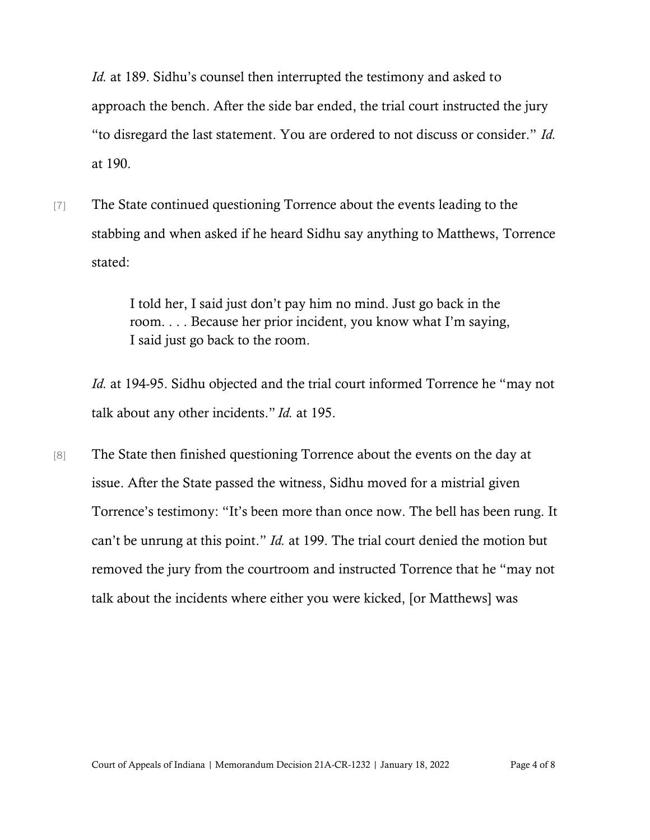*Id.* at 189. Sidhu's counsel then interrupted the testimony and asked to approach the bench. After the side bar ended, the trial court instructed the jury "to disregard the last statement. You are ordered to not discuss or consider." *Id.* at 190.

[7] The State continued questioning Torrence about the events leading to the stabbing and when asked if he heard Sidhu say anything to Matthews, Torrence stated:

> I told her, I said just don't pay him no mind. Just go back in the room. . . . Because her prior incident, you know what I'm saying, I said just go back to the room.

*Id.* at 194-95. Sidhu objected and the trial court informed Torrence he "may not talk about any other incidents." *Id.* at 195.

[8] The State then finished questioning Torrence about the events on the day at issue. After the State passed the witness, Sidhu moved for a mistrial given Torrence's testimony: "It's been more than once now. The bell has been rung. It can't be unrung at this point." *Id.* at 199. The trial court denied the motion but removed the jury from the courtroom and instructed Torrence that he "may not talk about the incidents where either you were kicked, [or Matthews] was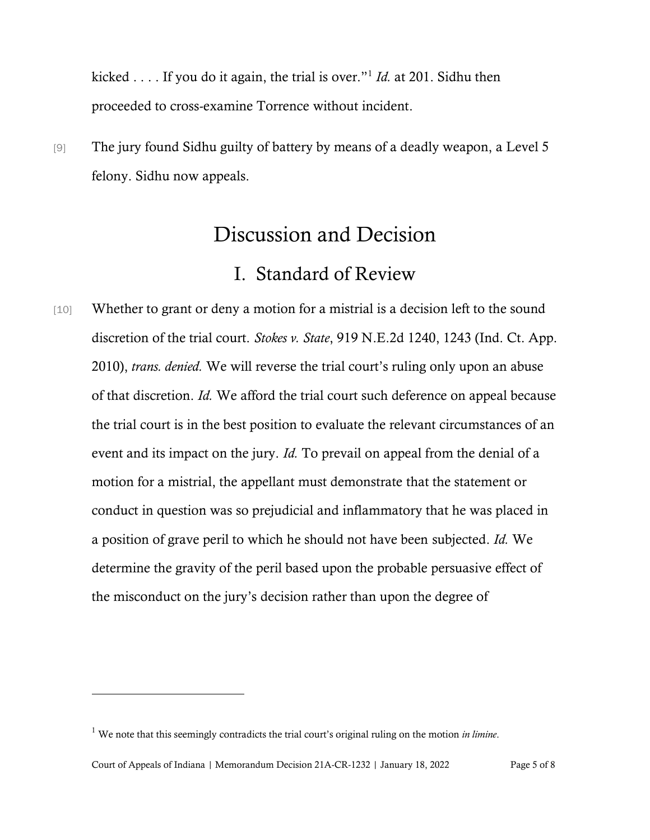kicked . . . . If you do it again, the trial is over."<sup>1</sup> *Id.* at 201. Sidhu then proceeded to cross-examine Torrence without incident.

[9] The jury found Sidhu guilty of battery by means of a deadly weapon, a Level 5 felony. Sidhu now appeals.

## Discussion and Decision

### I. Standard of Review

[10] Whether to grant or deny a motion for a mistrial is a decision left to the sound discretion of the trial court. *Stokes v. State*, 919 N.E.2d 1240, 1243 (Ind. Ct. App. 2010), *trans. denied.* We will reverse the trial court's ruling only upon an abuse of that discretion. *[Id.](https://1.next.westlaw.com/Link/Document/FullText?findType=Y&serNum=2003620363&originatingDoc=I8aea8c160bfe11df9988d233d23fe599&refType=RP&originationContext=document&transitionType=DocumentItem&ppcid=38555516cb39463c818f30eddc6c3963&contextData=(sc.QASearch))* We afford the trial court such deference on appeal because the trial court is in the best position to evaluate the relevant circumstances of an event and its impact on the jury. *[Id.](https://1.next.westlaw.com/Link/Document/FullText?findType=Y&serNum=2003620363&originatingDoc=I8aea8c160bfe11df9988d233d23fe599&refType=RP&originationContext=document&transitionType=DocumentItem&ppcid=38555516cb39463c818f30eddc6c3963&contextData=(sc.QASearch))* To prevail on appeal from the denial of a motion for a mistrial, the appellant must demonstrate that the statement or conduct in question was so prejudicial and inflammatory that he was placed in a position of grave peril to which he should not have been subjected. *[Id.](https://1.next.westlaw.com/Link/Document/FullText?findType=Y&serNum=2003620363&originatingDoc=I8aea8c160bfe11df9988d233d23fe599&refType=RP&originationContext=document&transitionType=DocumentItem&ppcid=38555516cb39463c818f30eddc6c3963&contextData=(sc.QASearch))* We determine the gravity of the peril based upon the probable persuasive effect of the misconduct on the jury's decision rather than upon the degree of

<sup>1</sup> We note that this seemingly contradicts the trial court's original ruling on the motion *in limine*.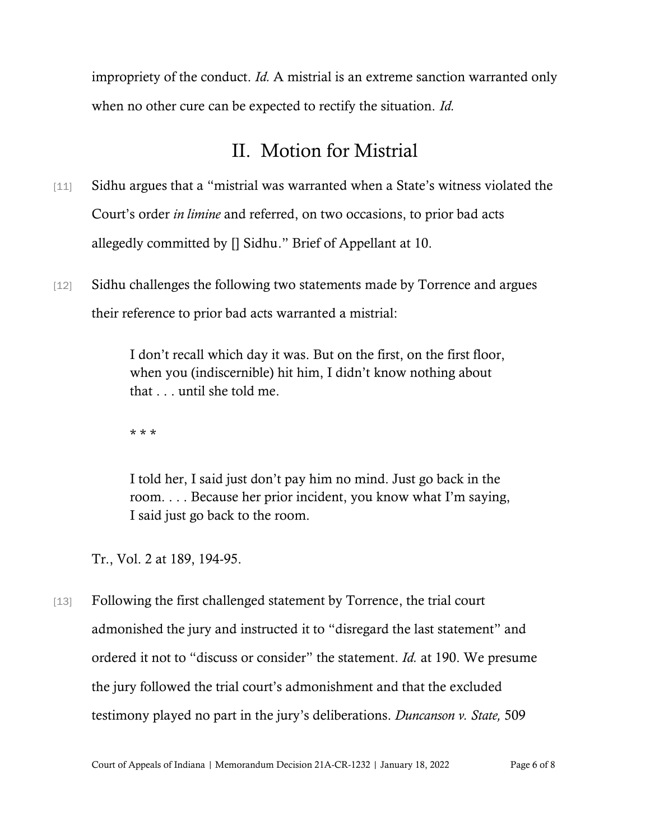impropriety of the conduct. *[Id.](https://1.next.westlaw.com/Link/Document/FullText?findType=Y&serNum=2003620363&originatingDoc=I8aea8c160bfe11df9988d233d23fe599&refType=RP&originationContext=document&transitionType=DocumentItem&ppcid=38555516cb39463c818f30eddc6c3963&contextData=(sc.QASearch))* A mistrial is an extreme sanction warranted only when no other cure can be expected to rectify the situation. *Id.* 

## II. Motion for Mistrial

- [11] Sidhu argues that a "mistrial was warranted when a State's witness violated the Court's order *in limine* and referred, on two occasions, to prior bad acts allegedly committed by [] Sidhu." Brief of Appellant at 10.
- [12] Sidhu challenges the following two statements made by Torrence and argues their reference to prior bad acts warranted a mistrial:

I don't recall which day it was. But on the first, on the first floor, when you (indiscernible) hit him, I didn't know nothing about that . . . until she told me.

\* \* \*

I told her, I said just don't pay him no mind. Just go back in the room. . . . Because her prior incident, you know what I'm saying, I said just go back to the room.

Tr., Vol. 2 at 189, 194-95.

[13] Following the first challenged statement by Torrence, the trial court admonished the jury and instructed it to "disregard the last statement" and ordered it not to "discuss or consider" the statement. *Id.* at 190. We presume the jury followed the trial court's admonishment and that the excluded testimony played no part in the jury's deliberations. *[Duncanson](https://1.next.westlaw.com/Link/Document/FullText?findType=Y&serNum=1987081376&pubNum=578&originatingDoc=I644b1700d39911d983e7e9deff98dc6f&refType=RP&fi=co_pp_sp_578_186&originationContext=document&transitionType=DocumentItem&ppcid=67af712486f943f991dc75aa8400485d&contextData=(sc.Search)#co_pp_sp_578_186) v. State,* 50[9](https://1.next.westlaw.com/Link/Document/FullText?findType=Y&serNum=1987081376&pubNum=578&originatingDoc=I644b1700d39911d983e7e9deff98dc6f&refType=RP&fi=co_pp_sp_578_186&originationContext=document&transitionType=DocumentItem&ppcid=67af712486f943f991dc75aa8400485d&contextData=(sc.Search)#co_pp_sp_578_186)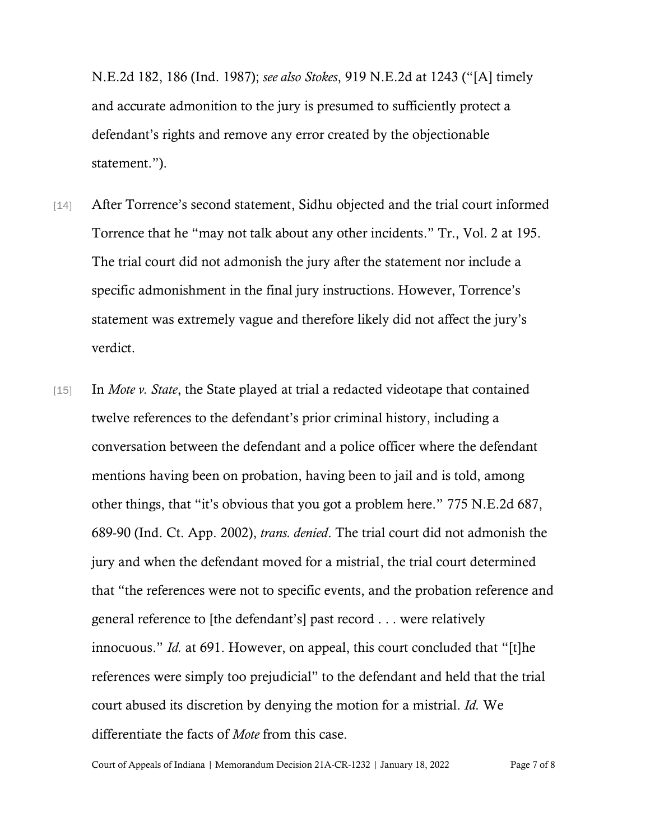[N.E.2d](https://1.next.westlaw.com/Link/Document/FullText?findType=Y&serNum=1987081376&pubNum=578&originatingDoc=I644b1700d39911d983e7e9deff98dc6f&refType=RP&fi=co_pp_sp_578_186&originationContext=document&transitionType=DocumentItem&ppcid=67af712486f943f991dc75aa8400485d&contextData=(sc.Search)#co_pp_sp_578_186) 182, 186 (Ind. 1987); *see also Stokes*, 919 N.E.2d at 1243 ("[A] timely and accurate admonition to the jury is presumed to sufficiently protect a defendant's rights and remove any error created by the objectionable statement.").

- [14] After Torrence's second statement, Sidhu objected and the trial court informed Torrence that he "may not talk about any other incidents." Tr., Vol. 2 at 195. The trial court did not admonish the jury after the statement nor include a specific admonishment in the final jury instructions. However, Torrence's statement was extremely vague and therefore likely did not affect the jury's verdict.
- [15] In *Mote v. State*, the State played at trial a redacted videotape that contained twelve references to the defendant's prior criminal history, including a conversation between the defendant and a police officer where the defendant mentions having been on probation, having been to jail and is told, among other things, that "it's obvious that you got a problem here." 775 N.E.2d 687, 689-90 (Ind. Ct. App. 2002), *trans. denied*. The trial court did not admonish the jury and when the defendant moved for a mistrial, the trial court determined that "the references were not to specific events, and the probation reference and general reference to [the defendant's] past record . . . were relatively innocuous." *Id.* at 691. However, on appeal, this court concluded that "[t]he references were simply too prejudicial" to the defendant and held that the trial court abused its discretion by denying the motion for a mistrial. *Id.* We differentiate the facts of *Mote* from this case.